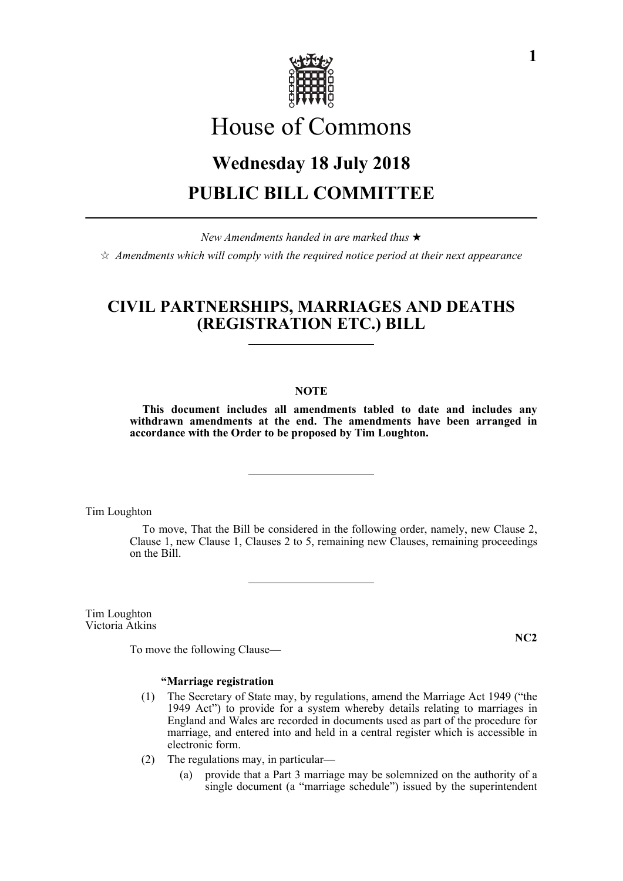

# House of Commons

## **Wednesday 18 July 2018 PUBLIC BILL COMMITTEE**

*New Amendments handed in are marked thus*   $\dot{\mathbb{X}}$  Amendments which will comply with the required notice period at their next appearance

### **CIVIL PARTNERSHIPS, MARRIAGES AND DEATHS (REGISTRATION ETC.) BILL**

#### **NOTE**

**This document includes all amendments tabled to date and includes any withdrawn amendments at the end. The amendments have been arranged in accordance with the Order to be proposed by Tim Loughton.**

Tim Loughton

To move, That the Bill be considered in the following order, namely, new Clause 2, Clause 1, new Clause 1, Clauses 2 to 5, remaining new Clauses, remaining proceedings on the Bill.

Tim Loughton Victoria Atkins

**NC2**

To move the following Clause—

#### **"Marriage registration**

- (1) The Secretary of State may, by regulations, amend the Marriage Act 1949 ("the 1949 Act") to provide for a system whereby details relating to marriages in England and Wales are recorded in documents used as part of the procedure for marriage, and entered into and held in a central register which is accessible in electronic form.
- (2) The regulations may, in particular—
	- (a) provide that a Part 3 marriage may be solemnized on the authority of a single document (a "marriage schedule") issued by the superintendent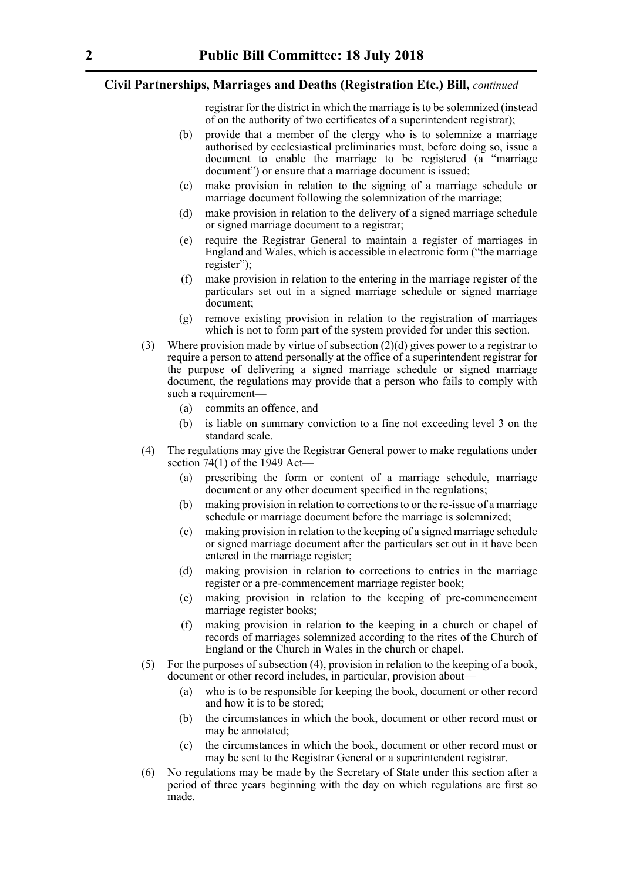registrar for the district in which the marriage is to be solemnized (instead of on the authority of two certificates of a superintendent registrar);

- (b) provide that a member of the clergy who is to solemnize a marriage authorised by ecclesiastical preliminaries must, before doing so, issue a document to enable the marriage to be registered (a "marriage document") or ensure that a marriage document is issued;
- (c) make provision in relation to the signing of a marriage schedule or marriage document following the solemnization of the marriage;
- (d) make provision in relation to the delivery of a signed marriage schedule or signed marriage document to a registrar;
- (e) require the Registrar General to maintain a register of marriages in England and Wales, which is accessible in electronic form ("the marriage register");
- (f) make provision in relation to the entering in the marriage register of the particulars set out in a signed marriage schedule or signed marriage document;
- (g) remove existing provision in relation to the registration of marriages which is not to form part of the system provided for under this section.
- (3) Where provision made by virtue of subsection (2)(d) gives power to a registrar to require a person to attend personally at the office of a superintendent registrar for the purpose of delivering a signed marriage schedule or signed marriage document, the regulations may provide that a person who fails to comply with such a requirement—
	- (a) commits an offence, and
	- (b) is liable on summary conviction to a fine not exceeding level 3 on the standard scale.
- (4) The regulations may give the Registrar General power to make regulations under section 74(1) of the 1949 Act—
	- (a) prescribing the form or content of a marriage schedule, marriage document or any other document specified in the regulations;
	- (b) making provision in relation to corrections to or the re-issue of a marriage schedule or marriage document before the marriage is solemnized;
	- (c) making provision in relation to the keeping of a signed marriage schedule or signed marriage document after the particulars set out in it have been entered in the marriage register;
	- (d) making provision in relation to corrections to entries in the marriage register or a pre-commencement marriage register book;
	- (e) making provision in relation to the keeping of pre-commencement marriage register books;
	- (f) making provision in relation to the keeping in a church or chapel of records of marriages solemnized according to the rites of the Church of England or the Church in Wales in the church or chapel.
- (5) For the purposes of subsection (4), provision in relation to the keeping of a book, document or other record includes, in particular, provision about—
	- (a) who is to be responsible for keeping the book, document or other record and how it is to be stored;
	- (b) the circumstances in which the book, document or other record must or may be annotated;
	- (c) the circumstances in which the book, document or other record must or may be sent to the Registrar General or a superintendent registrar.
- (6) No regulations may be made by the Secretary of State under this section after a period of three years beginning with the day on which regulations are first so made.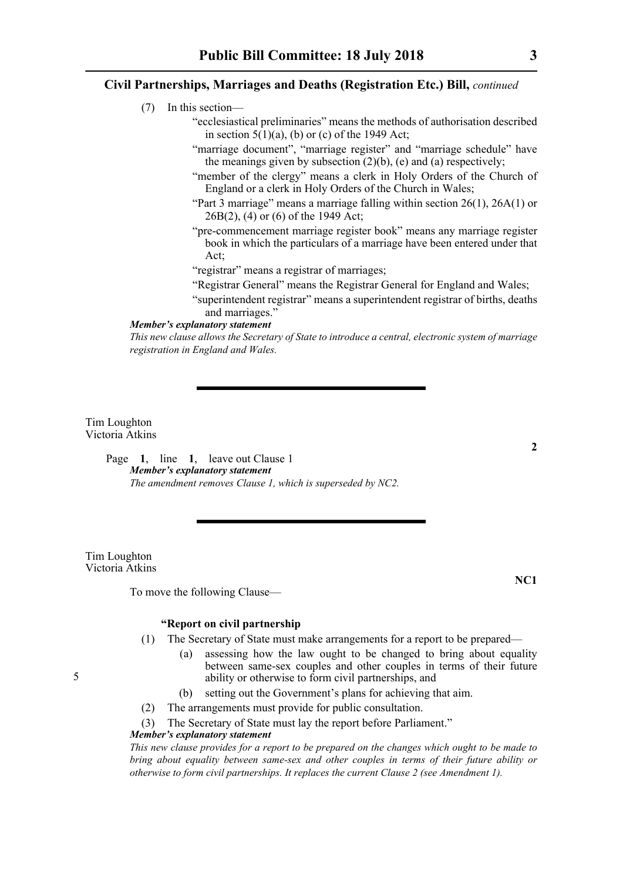- (7) In this section—
	- "ecclesiastical preliminaries" means the methods of authorisation described in section  $5(1)(a)$ , (b) or (c) of the 1949 Act;
	- "marriage document", "marriage register" and "marriage schedule" have the meanings given by subsection  $(2)(b)$ , (e) and (a) respectively;
	- "member of the clergy" means a clerk in Holy Orders of the Church of England or a clerk in Holy Orders of the Church in Wales;
	- "Part 3 marriage" means a marriage falling within section 26(1), 26A(1) or 26B(2), (4) or (6) of the 1949 Act;
	- "pre-commencement marriage register book" means any marriage register book in which the particulars of a marriage have been entered under that Act;
	- "registrar" means a registrar of marriages;
	- "Registrar General" means the Registrar General for England and Wales;
	- "superintendent registrar" means a superintendent registrar of births, deaths and marriages."

#### *Member's explanatory statement*

*This new clause allows the Secretary of State to introduce a central, electronic system of marriage registration in England and Wales.*

Tim Loughton Victoria Atkins

> Page **1**, line **1**, leave out Clause 1 *Member's explanatory statement The amendment removes Clause 1, which is superseded by NC2.*

Tim Loughton Victoria Atkins

To move the following Clause—

### **"Report on civil partnership**

- (1) The Secretary of State must make arrangements for a report to be prepared—
	- (a) assessing how the law ought to be changed to bring about equality between same-sex couples and other couples in terms of their future ability or otherwise to form civil partnerships, and
	- (b) setting out the Government's plans for achieving that aim.
- (2) The arrangements must provide for public consultation.

#### (3) The Secretary of State must lay the report before Parliament."

#### *Member's explanatory statement*

*This new clause provides for a report to be prepared on the changes which ought to be made to bring about equality between same-sex and other couples in terms of their future ability or otherwise to form civil partnerships. It replaces the current Clause 2 (see Amendment 1).*

**NC1**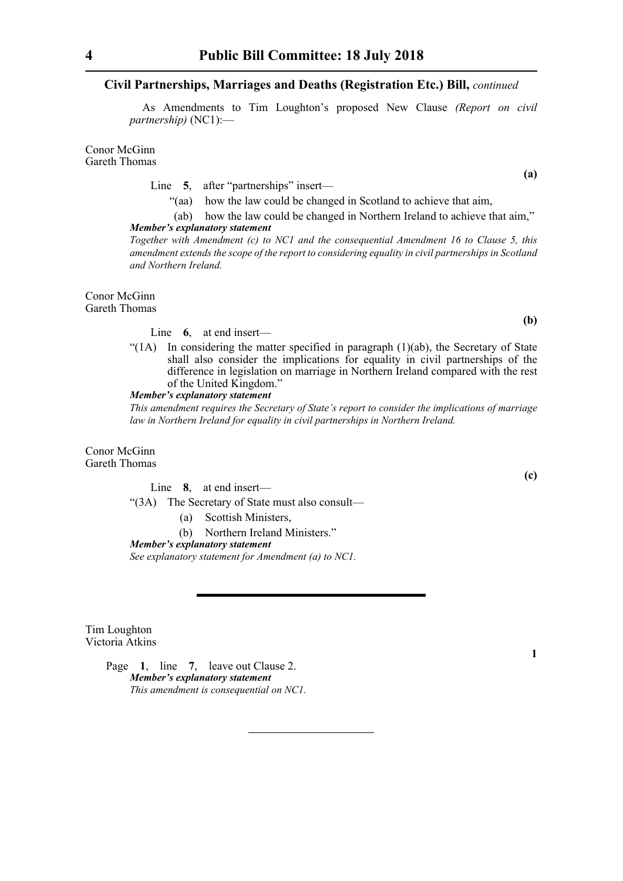As Amendments to Tim Loughton's proposed New Clause *(Report on civil partnership)* (NC1):—

Conor McGinn Gareth Thomas

Line 5, after "partnerships" insert—

"(aa) how the law could be changed in Scotland to achieve that aim,

(ab) how the law could be changed in Northern Ireland to achieve that aim," *Member's explanatory statement* 

*Together with Amendment (c) to NC1 and the consequential Amendment 16 to Clause 5, this amendment extends the scope of the report to considering equality in civil partnerships in Scotland and Northern Ireland.*

Conor McGinn Gareth Thomas

Line **6**, at end insert—

"(1A) In considering the matter specified in paragraph (1)(ab), the Secretary of State shall also consider the implications for equality in civil partnerships of the difference in legislation on marriage in Northern Ireland compared with the rest of the United Kingdom."

*Member's explanatory statement* 

*This amendment requires the Secretary of State's report to consider the implications of marriage law in Northern Ireland for equality in civil partnerships in Northern Ireland.*

Conor McGinn Gareth Thomas

Line **8**, at end insert—

"(3A) The Secretary of State must also consult—

(a) Scottish Ministers,

(b) Northern Ireland Ministers."

*Member's explanatory statement See explanatory statement for Amendment (a) to NC1.*

Tim Loughton Victoria Atkins

> Page **1**, line **7**, leave out Clause 2. *Member's explanatory statement This amendment is consequential on NC1.*

**(a)**

**(b)**

**(c)**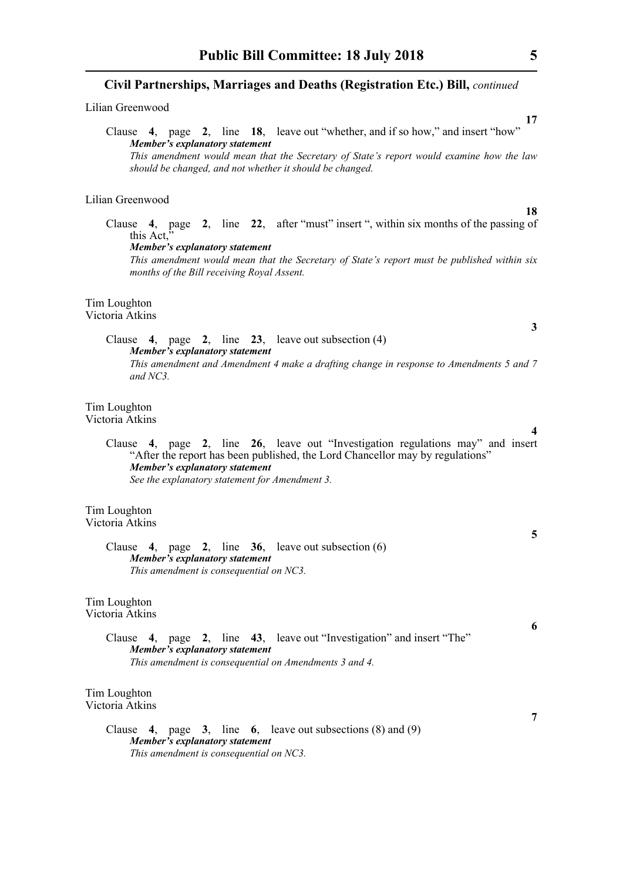Lilian Greenwood

|                                |  |  |  |  |  | Clause 4, page 2, line 18, leave out "whether, and if so how," and insert "how"          |  |
|--------------------------------|--|--|--|--|--|------------------------------------------------------------------------------------------|--|
| Member's explanatory statement |  |  |  |  |  |                                                                                          |  |
|                                |  |  |  |  |  | This amendment would mean that the Secretary of State's report would examine how the law |  |
|                                |  |  |  |  |  | should be changed, and not whether it should be changed.                                 |  |

Lilian Greenwood

Clause **4**, page **2**, line **22**, after "must" insert ", within six months of the passing of this Act,

*Member's explanatory statement* 

*This amendment would mean that the Secretary of State's report must be published within six months of the Bill receiving Royal Assent.*

Tim Loughton Victoria Atkins

> Clause **4**, page **2**, line **23**, leave out subsection (4) *Member's explanatory statement This amendment and Amendment 4 make a drafting change in response to Amendments 5 and 7 and NC3.*

Tim Loughton Victoria Atkins

> Clause **4**, page **2**, line **26**, leave out "Investigation regulations may" and insert "After the report has been published, the Lord Chancellor may by regulations" *Member's explanatory statement See the explanatory statement for Amendment 3.*

Tim Loughton Victoria Atkins

#### Clause **4**, page **2**, line **36**, leave out subsection (6) *Member's explanatory statement This amendment is consequential on NC3.*

Tim Loughton Victoria Atkins

> Clause **4**, page **2**, line **43**, leave out "Investigation" and insert "The" *Member's explanatory statement This amendment is consequential on Amendments 3 and 4.*

Tim Loughton Victoria Atkins

> Clause **4**, page **3**, line **6**, leave out subsections (8) and (9) *Member's explanatory statement This amendment is consequential on NC3.*

**18**

**4**

**3**

**5**

**7**

**6**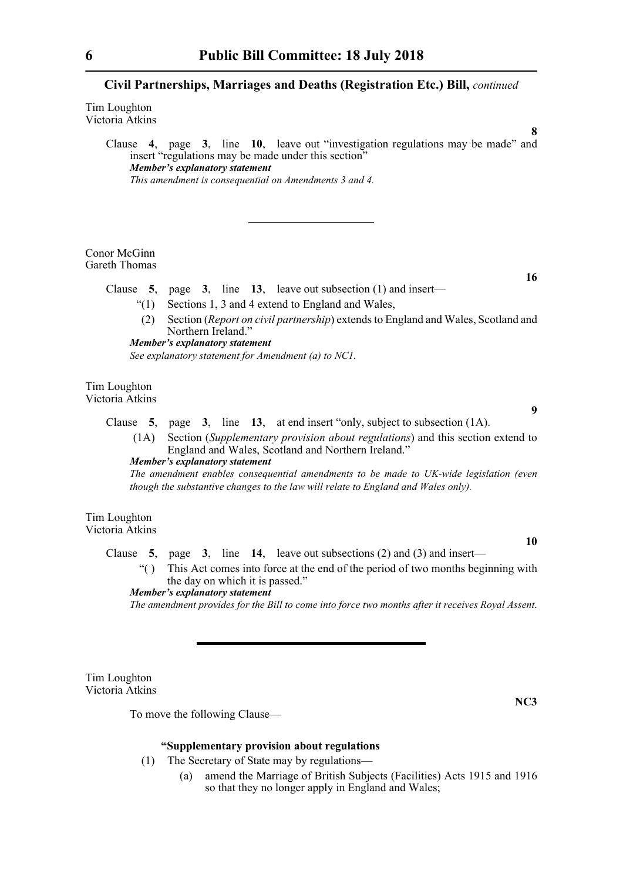Tim Loughton Victoria Atkins

> Clause **4**, page **3**, line **10**, leave out "investigation regulations may be made" and insert "regulations may be made under this section" *Member's explanatory statement This amendment is consequential on Amendments 3 and 4.*

Conor McGinn Gareth Thomas

Clause **5**, page **3**, line **13**, leave out subsection (1) and insert—

- "(1) Sections 1, 3 and 4 extend to England and Wales,
- (2) Section (*Report on civil partnership*) extends to England and Wales, Scotland and Northern Ireland."

*Member's explanatory statement See explanatory statement for Amendment (a) to NC1.*

Tim Loughton Victoria Atkins

> Clause **5**, page **3**, line **13**, at end insert "only, subject to subsection (1A). (1A) Section (*Supplementary provision about regulations*) and this section extend to England and Wales, Scotland and Northern Ireland."

*Member's explanatory statement* 

*The amendment enables consequential amendments to be made to UK-wide legislation (even though the substantive changes to the law will relate to England and Wales only).*

Tim Loughton

**10**

Victoria Atkins

Clause **5**, page **3**, line **14**, leave out subsections (2) and (3) and insert—

"( ) This Act comes into force at the end of the period of two months beginning with the day on which it is passed." *Member's explanatory statement* 

*The amendment provides for the Bill to come into force two months after it receives Royal Assent.*

Tim Loughton Victoria Atkins

To move the following Clause—

**NC3**

#### **"Supplementary provision about regulations**

- (1) The Secretary of State may by regulations—
	- (a) amend the Marriage of British Subjects (Facilities) Acts 1915 and 1916 so that they no longer apply in England and Wales;

**16**

**9**

**8**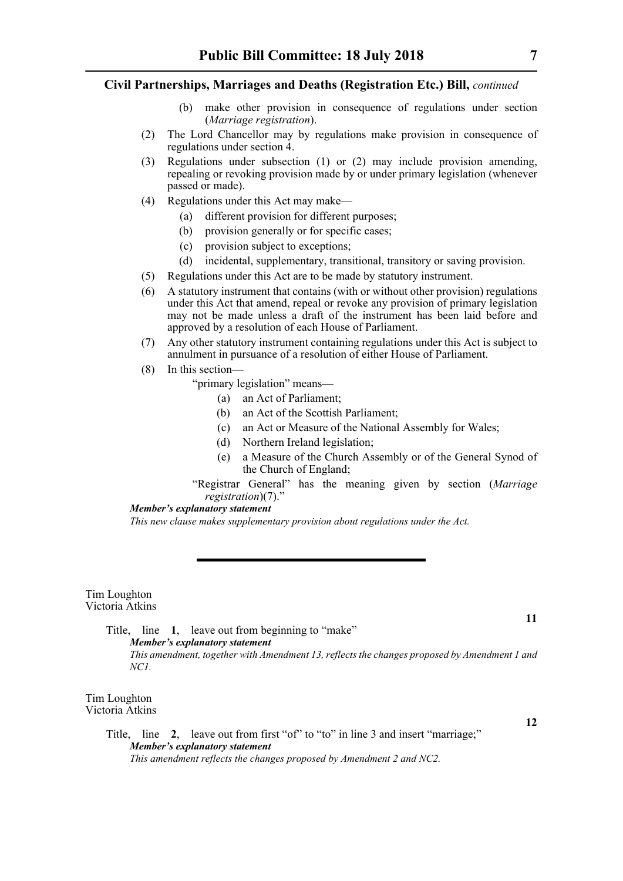- (b) make other provision in consequence of regulations under section (*Marriage registration*).
- (2) The Lord Chancellor may by regulations make provision in consequence of regulations under section 4.
- (3) Regulations under subsection (1) or (2) may include provision amending, repealing or revoking provision made by or under primary legislation (whenever passed or made).
- (4) Regulations under this Act may make—
	- (a) different provision for different purposes;
	- (b) provision generally or for specific cases;
	- (c) provision subject to exceptions;
	- (d) incidental, supplementary, transitional, transitory or saving provision.
- (5) Regulations under this Act are to be made by statutory instrument.
- (6) A statutory instrument that contains (with or without other provision) regulations under this Act that amend, repeal or revoke any provision of primary legislation may not be made unless a draft of the instrument has been laid before and approved by a resolution of each House of Parliament.
- (7) Any other statutory instrument containing regulations under this Act is subject to annulment in pursuance of a resolution of either House of Parliament.
- (8) In this section—
	- "primary legislation" means—
		- (a) an Act of Parliament;
		- (b) an Act of the Scottish Parliament;
		- (c) an Act or Measure of the National Assembly for Wales;
		- (d) Northern Ireland legislation;
		- (e) a Measure of the Church Assembly or of the General Synod of the Church of England;
	- "Registrar General" has the meaning given by section (*Marriage registration*)(7)."

#### *Member's explanatory statement*

*This new clause makes supplementary provision about regulations under the Act.*

Tim Loughton Victoria Atkins

> Title, line **1**, leave out from beginning to "make" *Member's explanatory statement This amendment, together with Amendment 13, reflects the changes proposed by Amendment 1 and NC1.*

Tim Loughton Victoria Atkins

**12**

**11**

Title, line **2**, leave out from first "of" to "to" in line 3 and insert "marriage;" *Member's explanatory statement This amendment reflects the changes proposed by Amendment 2 and NC2.*